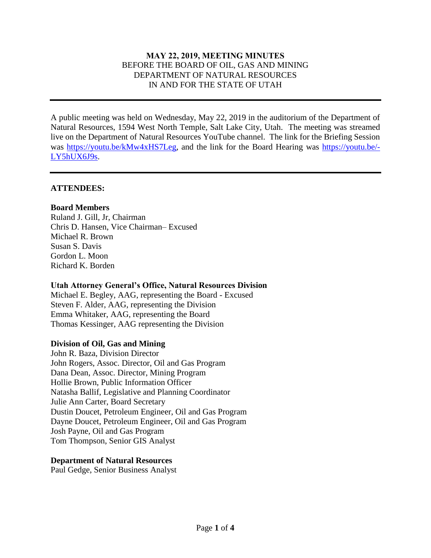## **MAY 22, 2019, MEETING MINUTES** BEFORE THE BOARD OF OIL, GAS AND MINING DEPARTMENT OF NATURAL RESOURCES IN AND FOR THE STATE OF UTAH

A public meeting was held on Wednesday, May 22, 2019 in the auditorium of the Department of Natural Resources, 1594 West North Temple, Salt Lake City, Utah. The meeting was streamed live on the Department of Natural Resources YouTube channel. The link for the Briefing Session was [https://youtu.be/kMw4xHS7Leg,](https://youtu.be/kMw4xHS7Leg) and the link for the Board Hearing was [https://youtu.be/-](https://youtu.be/-LY5hUX6J9s) [LY5hUX6J9s.](https://youtu.be/-LY5hUX6J9s)

### **ATTENDEES:**

## **Board Members**

Ruland J. Gill, Jr, Chairman Chris D. Hansen, Vice Chairman– Excused Michael R. Brown Susan S. Davis Gordon L. Moon Richard K. Borden

#### **Utah Attorney General's Office, Natural Resources Division**

Michael E. Begley, AAG, representing the Board - Excused Steven F. Alder, AAG, representing the Division Emma Whitaker, AAG, representing the Board Thomas Kessinger, AAG representing the Division

#### **Division of Oil, Gas and Mining**

John R. Baza, Division Director John Rogers, Assoc. Director, Oil and Gas Program Dana Dean, Assoc. Director, Mining Program Hollie Brown, Public Information Officer Natasha Ballif, Legislative and Planning Coordinator Julie Ann Carter, Board Secretary Dustin Doucet, Petroleum Engineer, Oil and Gas Program Dayne Doucet, Petroleum Engineer, Oil and Gas Program Josh Payne, Oil and Gas Program Tom Thompson, Senior GIS Analyst

#### **Department of Natural Resources**

Paul Gedge, Senior Business Analyst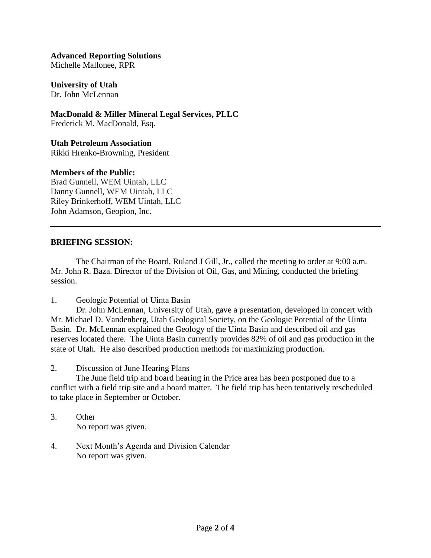**Advanced Reporting Solutions** Michelle Mallonee, RPR

**University of Utah** Dr. John McLennan

**MacDonald & Miller Mineral Legal Services, PLLC** Frederick M. MacDonald, Esq.

**Utah Petroleum Association** Rikki Hrenko-Browning, President

## **Members of the Public:**

Brad Gunnell, WEM Uintah, LLC Danny Gunnell, WEM Uintah, LLC Riley Brinkerhoff, WEM Uintah, LLC John Adamson, Geopion, Inc.

# **BRIEFING SESSION:**

The Chairman of the Board, Ruland J Gill, Jr., called the meeting to order at 9:00 a.m. Mr. John R. Baza. Director of the Division of Oil, Gas, and Mining, conducted the briefing session.

1. Geologic Potential of Uinta Basin

Dr. John McLennan, University of Utah, gave a presentation, developed in concert with Mr. Michael D. Vandenberg, Utah Geological Society, on the Geologic Potential of the Uinta Basin. Dr. McLennan explained the Geology of the Uinta Basin and described oil and gas reserves located there. The Uinta Basin currently provides 82% of oil and gas production in the state of Utah. He also described production methods for maximizing production.

2. Discussion of June Hearing Plans

The June field trip and board hearing in the Price area has been postponed due to a conflict with a field trip site and a board matter. The field trip has been tentatively rescheduled to take place in September or October.

- 3. Other No report was given.
- 4. Next Month's Agenda and Division Calendar No report was given.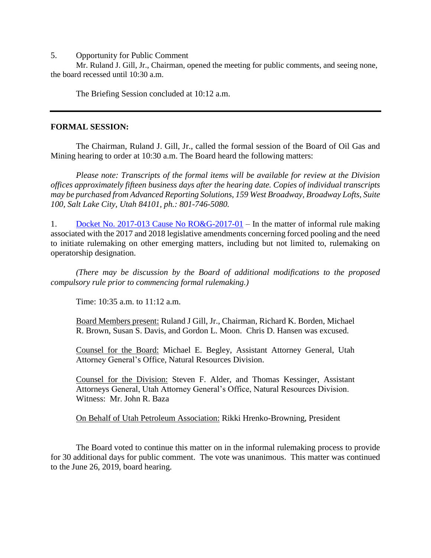5. Opportunity for Public Comment

Mr. Ruland J. Gill, Jr., Chairman, opened the meeting for public comments, and seeing none, the board recessed until 10:30 a.m.

The Briefing Session concluded at 10:12 a.m.

#### **FORMAL SESSION:**

The Chairman, Ruland J. Gill, Jr., called the formal session of the Board of Oil Gas and Mining hearing to order at 10:30 a.m. The Board heard the following matters:

*Please note: Transcripts of the formal items will be available for review at the Division offices approximately fifteen business days after the hearing date. Copies of individual transcripts may be purchased from Advanced Reporting Solutions, 159 West Broadway, Broadway Lofts, Suite 100, Salt Lake City, Utah 84101, ph.: 801-746-5080.*

1. [Docket No. 2017-013 Cause No RO&G-2017-01](http://ogm.utah.gov/amr/boardtemp/redesign/2019/04_Apr/Dockets/2017-013_RO&G-2017-01_40-6-2(4)and-2(11).php) – In the matter of informal rule making associated with the 2017 and 2018 legislative amendments concerning forced pooling and the need to initiate rulemaking on other emerging matters, including but not limited to, rulemaking on operatorship designation.

*(There may be discussion by the Board of additional modifications to the proposed compulsory rule prior to commencing formal rulemaking.)*

Time: 10:35 a.m. to 11:12 a.m.

Board Members present: Ruland J Gill, Jr., Chairman, Richard K. Borden, Michael R. Brown, Susan S. Davis, and Gordon L. Moon. Chris D. Hansen was excused.

Counsel for the Board: Michael E. Begley, Assistant Attorney General, Utah Attorney General's Office, Natural Resources Division.

Counsel for the Division: Steven F. Alder, and Thomas Kessinger, Assistant Attorneys General, Utah Attorney General's Office, Natural Resources Division. Witness: Mr. John R. Baza

On Behalf of Utah Petroleum Association: Rikki Hrenko-Browning, President

The Board voted to continue this matter on in the informal rulemaking process to provide for 30 additional days for public comment. The vote was unanimous. This matter was continued to the June 26, 2019, board hearing.